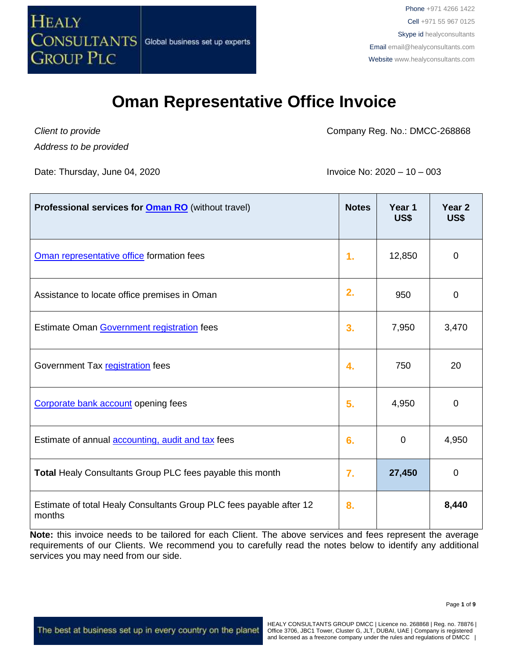

*Client to provide Address to be provided* Company Reg. No.: DMCC-268868

Date: Thursday, June 04, 2020 **Invoice No: 2020** – 10 – 003

| Professional services for <b>Oman RO</b> (without travel)                     | <b>Notes</b> | Year 1<br>US\$ | Year <sub>2</sub><br>US\$ |
|-------------------------------------------------------------------------------|--------------|----------------|---------------------------|
| Oman representative office formation fees                                     | 1.           | 12,850         | $\mathbf 0$               |
| Assistance to locate office premises in Oman                                  | 2.           | 950            | 0                         |
| Estimate Oman Government registration fees                                    | 3.           | 7,950          | 3,470                     |
| Government Tax registration fees                                              | 4.           | 750            | 20                        |
| Corporate bank account opening fees                                           | 5.           | 4,950          | 0                         |
| Estimate of annual <b>accounting</b> , audit and tax fees                     | 6.           | 0              | 4,950                     |
| <b>Total Healy Consultants Group PLC fees payable this month</b>              | 7.           | 27,450         | 0                         |
| Estimate of total Healy Consultants Group PLC fees payable after 12<br>months | 8.           |                | 8,440                     |

**Note:** this invoice needs to be tailored for each Client. The above services and fees represent the average requirements of our Clients. We recommend you to carefully read the notes below to identify any additional services you may need from our side.

The best at business set up in every country on the planet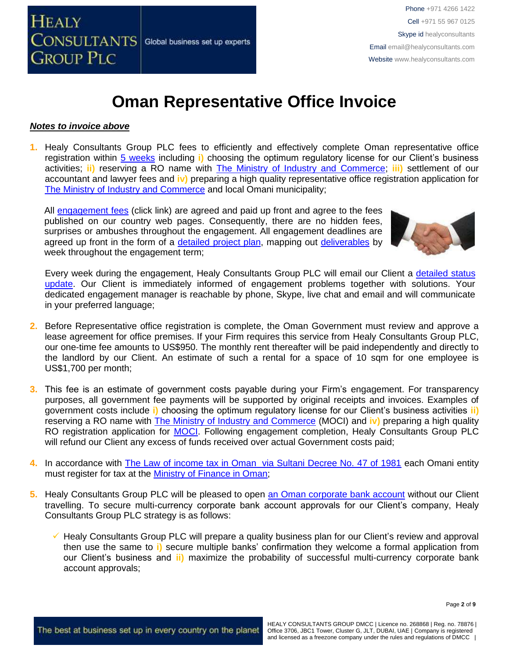

#### *Notes to invoice above*

**1.** Healy Consultants Group PLC fees to efficiently and effectively complete Oman representative office registration within 5 [weeks](http://www.healyconsultants.com/oman-company-registration/fees-timelines/#timelines) including **i)** choosing the optimum regulatory license for our Client's business activities; **ii)** reserving a RO name with [The Ministry of Industry and Commerce;](http://www.mocioman.gov.om/?lang=en-US) **iii)** settlement of our accountant and lawyer fees and **iv)** preparing a high quality representative office registration application for The Ministry [of Industry and Commerce](http://www.mocioman.gov.om/?lang=en-US) and local Omani municipality;

All [engagement fees](http://www.healyconsultants.com/company-registration-fees/) (click link) are agreed and paid up front and agree to the fees published on our country web pages. Consequently, there are no hidden fees, surprises or ambushes throughout the engagement. All engagement deadlines are agreed up front in the form of a [detailed project plan,](http://www.healyconsultants.com/index-important-links/example-project-plan/) mapping out [deliverables](http://www.healyconsultants.com/deliverables-to-our-clients/) by week throughout the engagement term;



Every week during the engagement, Healy Consultants Group PLC will email our Client a [detailed status](http://www.healyconsultants.com/index-important-links/weekly-engagement-status-email/)  [update.](http://www.healyconsultants.com/index-important-links/weekly-engagement-status-email/) Our Client is immediately informed of engagement problems together with solutions. Your dedicated engagement manager is reachable by phone, Skype, live chat and email and will communicate in your preferred language;

- **2.** Before Representative office registration is complete, the Oman Government must review and approve a lease agreement for office premises. If your Firm requires this service from Healy Consultants Group PLC, our one-time fee amounts to US\$950. The monthly rent thereafter will be paid independently and directly to the landlord by our Client. An estimate of such a rental for a space of 10 sqm for one employee is US\$1,700 per month;
- **3.** This fee is an estimate of government costs payable during your Firm's engagement. For transparency purposes, all government fee payments will be supported by original receipts and invoices. Examples of government costs include **i)** choosing the optimum regulatory license for our Client's business activities **ii)** reserving a RO name with [The Ministry of Industry and Commerce](http://www.mocioman.gov.om/?lang=en-US) (MOCI) and **iv)** preparing a high quality RO registration application for [MOCI.](http://www.mocioman.gov.om/?lang=en-US) Following engagement completion, Healy Consultants Group PLC will refund our Client any excess of funds received over actual Government costs paid;
- **4.** In accordance with [The Law of income tax in Oman via Sultani Decree No. 47 of 1981](http://www.taxoman.gov.om/companies%20law%20in%20English.pdf) each Omani entity must register for tax at the [Ministry of Finance in Oman;](http://www.taxoman.gov.om/company_tax.html#main-page)
- **5.** Healy Consultants Group PLC will be pleased to open [an Oman corporate bank account](http://www.healyconsultants.com/international-banking/) without our Client travelling. To secure multi-currency corporate bank account approvals for our Client's company, Healy Consultants Group PLC strategy is as follows:
	- Healy Consultants Group PLC will prepare a quality business plan for our Client's review and approval then use the same to **i)** secure multiple banks' confirmation they welcome a formal application from our Client's business and **ii)** maximize the probability of successful multi-currency corporate bank account approvals;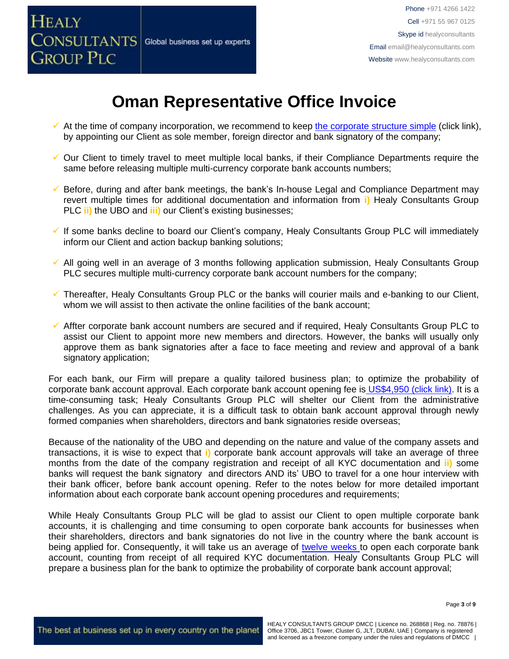

- $\checkmark$  At the time of company incorporation, we recommend to keep [the corporate structure simple](https://www.healyconsultants.com/about-us/complex-client-engagements/simplify-business-setup/) (click link), by appointing our Client as sole member, foreign director and bank signatory of the company;
- ✓ Our Client to timely travel to meet multiple local banks, if their Compliance Departments require the same before releasing multiple multi-currency corporate bank accounts numbers;
- ✓ Before, during and after bank meetings, the bank's In-house Legal and Compliance Department may revert multiple times for additional documentation and information from **i)** Healy Consultants Group PLC **ii)** the UBO and **iii)** our Client's existing businesses;
- ✓ If some banks decline to board our Client's company, Healy Consultants Group PLC will immediately inform our Client and action backup banking solutions;
- ✓ All going well in an average of 3 months following application submission, Healy Consultants Group PLC secures multiple multi-currency corporate bank account numbers for the company;
- $\checkmark$  Thereafter, Healy Consultants Group PLC or the banks will courier mails and e-banking to our Client, whom we will assist to then activate the online facilities of the bank account;
- $\checkmark$  Affter corporate bank account numbers are secured and if required, Healy Consultants Group PLC to assist our Client to appoint more new members and directors. However, the banks will usually only approve them as bank signatories after a face to face meeting and review and approval of a bank signatory application;

For each bank, our Firm will prepare a quality tailored business plan; to optimize the probability of corporate bank account approval. Each corporate bank account opening fee is US\$4,950 [\(click link\).](https://www.healyconsultants.com/global-corporate-banking-for-resident-company/) It is a time-consuming task; Healy Consultants Group PLC will shelter our Client from the administrative challenges. As you can appreciate, it is a difficult task to obtain bank account approval through newly formed companies when shareholders, directors and bank signatories reside overseas;

Because of the nationality of the UBO and depending on the nature and value of the company assets and transactions, it is wise to expect that **i)** corporate bank account approvals will take an average of three months from the date of the company registration and receipt of all KYC documentation and **ii)** some banks will request the bank signatory and directors AND its' UBO to travel for a one hour interview with their bank officer, before bank account opening. Refer to the notes below for more detailed important information about each corporate bank account opening procedures and requirements;

While Healy Consultants Group PLC will be glad to assist our Client to open multiple corporate bank accounts, it is challenging and time consuming to open corporate bank accounts for businesses when their shareholders, directors and bank signatories do not live in the country where the bank account is being applied for. Consequently, it will take us an average of [twelve weeks](http://www.healyconsultants.com/international-banking/bitcoin-business-bank-account/) to open each corporate bank account, counting from receipt of all required KYC documentation. Healy Consultants Group PLC will prepare a business plan for the bank to optimize the probability of corporate bank account approval;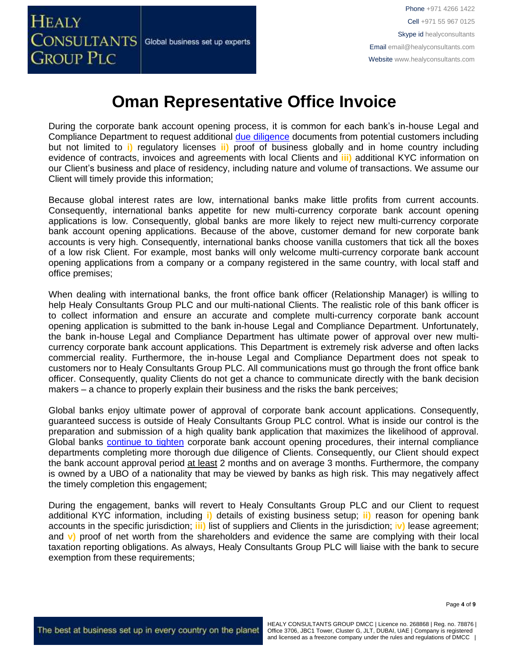

During the corporate bank account opening process, it is common for each bank's in-house Legal and Compliance Department to request additional [due diligence](http://www.healyconsultants.com/due-diligence/) documents from potential customers including but not limited to **i)** regulatory licenses **ii)** proof of business globally and in home country including evidence of contracts, invoices and agreements with local Clients and **iii)** additional KYC information on our Client's business and place of residency, including nature and volume of transactions. We assume our Client will timely provide this information;

Because global interest rates are low, international banks make little profits from current accounts. Consequently, international banks appetite for new multi-currency corporate bank account opening applications is low. Consequently, global banks are more likely to reject new multi-currency corporate bank account opening applications. Because of the above, customer demand for new corporate bank accounts is very high. Consequently, international banks choose vanilla customers that tick all the boxes of a low risk Client. For example, most banks will only welcome multi-currency corporate bank account opening applications from a company or a company registered in the same country, with local staff and office premises;

When dealing with international banks, the front office bank officer (Relationship Manager) is willing to help Healy Consultants Group PLC and our multi-national Clients. The realistic role of this bank officer is to collect information and ensure an accurate and complete multi-currency corporate bank account opening application is submitted to the bank in-house Legal and Compliance Department. Unfortunately, the bank in-house Legal and Compliance Department has ultimate power of approval over new multicurrency corporate bank account applications. This Department is extremely risk adverse and often lacks commercial reality. Furthermore, the in-house Legal and Compliance Department does not speak to customers nor to Healy Consultants Group PLC. All communications must go through the front office bank officer. Consequently, quality Clients do not get a chance to communicate directly with the bank decision makers – a chance to properly explain their business and the risks the bank perceives;

Global banks enjoy ultimate power of approval of corporate bank account applications. Consequently, guaranteed success is outside of Healy Consultants Group PLC control. What is inside our control is the preparation and submission of a high quality bank application that maximizes the likelihood of approval. Global banks [continue to tighten](https://www.healyconsultants.com/international-banking/opening-corporate-bank-accounts/) corporate bank account opening procedures, their internal compliance departments completing more thorough due diligence of Clients. Consequently, our Client should expect the bank account approval period at least 2 months and on average 3 months. Furthermore, the company is owned by a UBO of a nationality that may be viewed by banks as high risk. This may negatively affect the timely completion this engagement;

During the engagement, banks will revert to Healy Consultants Group PLC and our Client to request additional KYC information, including **i)** details of existing business setup; **ii)** reason for opening bank accounts in the specific jurisdiction; **iii)** list of suppliers and Clients in the jurisdiction; i**v)** lease agreement; and **v)** proof of net worth from the shareholders and evidence the same are complying with their local taxation reporting obligations. As always, Healy Consultants Group PLC will liaise with the bank to secure exemption from these requirements;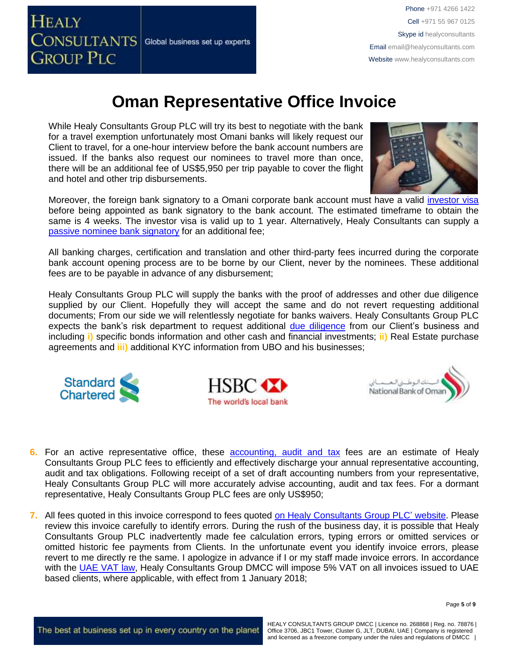

While Healy Consultants Group PLC will try its best to negotiate with the bank for a travel exemption unfortunately most Omani banks will likely request our Client to travel, for a one-hour interview before the bank account numbers are issued. If the banks also request our nominees to travel more than once, there will be an additional fee of US\$5,950 per trip payable to cover the flight and hotel and other trip disbursements.



Moreover, the foreign bank signatory to a Omani corporate bank account must have a valid [investor visa](https://www.healyconsultants.com/oman-company-registration/formation-support-services/) before being appointed as bank signatory to the bank account. The estimated timeframe to obtain the same is 4 weeks. The investor visa is valid up to 1 year. Alternatively, Healy Consultants can supply a [passive nominee bank signatory](http://www.healyconsultants.com/corporate-banking-services/nominee-bank-signatory/) for an additional fee;

All banking charges, certification and translation and other third-party fees incurred during the corporate bank account opening process are to be borne by our Client, never by the nominees. These additional fees are to be payable in advance of any disbursement;

Healy Consultants Group PLC will supply the banks with the proof of addresses and other due diligence supplied by our Client. Hopefully they will accept the same and do not revert requesting additional documents; From our side we will relentlessly negotiate for banks waivers. Healy Consultants Group PLC expects the bank's risk department to request additional [due diligence](http://www.healyconsultants.com/due-diligence/) from our Client's business and including **i)** specific bonds information and other cash and financial investments; **ii)** Real Estate purchase agreements and **iii)** additional KYC information from UBO and his businesses;







- **6.** For an active representative office, these [accounting, audit](http://www.healyconsultants.com/oman-company-registration/accounting-legal/) and tax fees are an estimate of Healy Consultants Group PLC fees to efficiently and effectively discharge your annual representative accounting, audit and tax obligations. Following receipt of a set of draft accounting numbers from your representative, Healy Consultants Group PLC will more accurately advise accounting, audit and tax fees. For a dormant representative, Healy Consultants Group PLC fees are only US\$950;
- **7.** All fees quoted in this invoice correspond to fees quoted [on Healy Consultants Group PLC' website.](http://www.healyconsultants.com/company-registration-fees/) Please review this invoice carefully to identify errors. During the rush of the business day, it is possible that Healy Consultants Group PLC inadvertently made fee calculation errors, typing errors or omitted services or omitted historic fee payments from Clients. In the unfortunate event you identify invoice errors, please revert to me directly re the same. I apologize in advance if I or my staff made invoice errors. In accordance with the [UAE VAT law,](https://www.tax.gov.ae/legislation.aspx) Healy Consultants Group DMCC will impose 5% VAT on all invoices issued to UAE based clients, where applicable, with effect from 1 January 2018;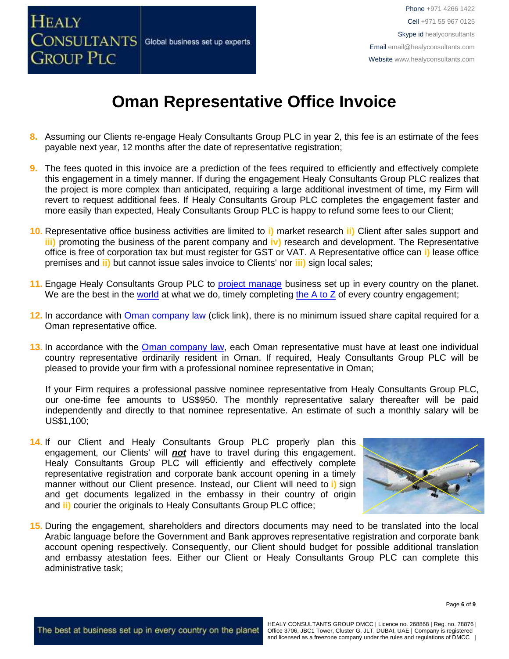

- **8.** Assuming our Clients re-engage Healy Consultants Group PLC in year 2, this fee is an estimate of the fees payable next year, 12 months after the date of representative registration;
- **9.** The fees quoted in this invoice are a prediction of the fees required to efficiently and effectively complete this engagement in a timely manner. If during the engagement Healy Consultants Group PLC realizes that the project is more complex than anticipated, requiring a large additional investment of time, my Firm will revert to request additional fees. If Healy Consultants Group PLC completes the engagement faster and more easily than expected, Healy Consultants Group PLC is happy to refund some fees to our Client;
- **10.** Representative office business activities are limited to **i)** market research **ii)** Client after sales support and **iii)** promoting the business of the parent company and **iv**) research and development. The Representative office is free of corporation tax but must register for GST or VAT. A Representative office can **i)** lease office premises and **ii)** but cannot issue sales invoice to Clients' nor **iii)** sign local sales;
- 11. Engage Healy Consultants Group PLC to [project manage](http://www.healyconsultants.com/project-manage-engagements/) business set up in every country on the planet. We are the best in the [world](http://www.healyconsultants.com/best-in-the-world/) at what we do, timely completing the  $A$  to  $Z$  of every country engagement;
- 12. In accordance with **Oman company law** (click link), there is no minimum issued share capital required for a Oman representative office.
- 13. In accordance with the **Oman company law**, each Oman representative must have at least one individual country representative ordinarily resident in Oman. If required, Healy Consultants Group PLC will be pleased to provide your firm with a professional nominee representative in Oman;

If your Firm requires a professional passive nominee representative from Healy Consultants Group PLC, our one-time fee amounts to US\$950. The monthly representative salary thereafter will be paid independently and directly to that nominee representative. An estimate of such a monthly salary will be US\$1,100;

**14.** If our Client and Healy Consultants Group PLC properly plan this engagement, our Clients' will *not* have to travel during this engagement. Healy Consultants Group PLC will efficiently and effectively complete representative registration and corporate bank account opening in a timely manner without our Client presence. Instead, our Client will need to **i)** sign and get documents legalized in the embassy in their country of origin and **ii)** courier the originals to Healy Consultants Group PLC office;



**15.** During the engagement, shareholders and directors documents may need to be translated into the local Arabic language before the Government and Bank approves representative registration and corporate bank account opening respectively. Consequently, our Client should budget for possible additional translation and embassy atestation fees. Either our Client or Healy Consultants Group PLC can complete this administrative task;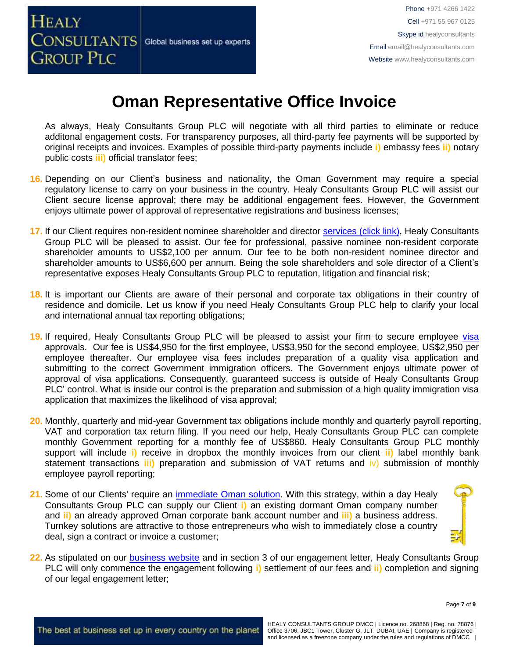

As always, Healy Consultants Group PLC will negotiate with all third parties to eliminate or reduce additonal engagement costs. For transparency purposes, all third-party fee payments will be supported by original receipts and invoices. Examples of possible third-party payments include **i)** embassy fees **ii)** notary public costs **iii)** official translator fees;

- **16.** Depending on our Client's business and nationality, the Oman Government may require a special regulatory license to carry on your business in the country. Healy Consultants Group PLC will assist our Client secure license approval; there may be additional engagement fees. However, the Government enjoys ultimate power of approval of representative registrations and business licenses;
- **17.** If our Client requires non-resident nominee shareholder and director services [\(click link\),](http://www.healyconsultants.com/corporate-outsourcing-services/nominee-shareholders-directors/) Healy Consultants Group PLC will be pleased to assist. Our fee for professional, passive nominee non-resident corporate shareholder amounts to US\$2,100 per annum. Our fee to be both non-resident nominee director and shareholder amounts to US\$6,600 per annum. Being the sole shareholders and sole director of a Client's representative exposes Healy Consultants Group PLC to reputation, litigation and financial risk;
- **18.** It is important our Clients are aware of their personal and corporate tax obligations in their country of residence and domicile. Let us know if you need Healy Consultants Group PLC help to clarify your local and international annual tax reporting obligations;
- **19.** If required, Healy Consultants Group PLC will be pleased to assist your firm to secure employee [visa](http://www.healyconsultants.com/oman-company-registration/formation-support-services/) approvals. Our fee is US\$4,950 for the first employee, US\$3,950 for the second employee, US\$2,950 per employee thereafter. Our employee visa fees includes preparation of a quality visa application and submitting to the correct Government immigration officers. The Government enjoys ultimate power of approval of visa applications. Consequently, guaranteed success is outside of Healy Consultants Group PLC' control. What is inside our control is the preparation and submission of a high quality immigration visa application that maximizes the likelihood of visa approval;
- **20.** Monthly, quarterly and mid-year Government tax obligations include monthly and quarterly payroll reporting, VAT and corporation tax return filing. If you need our help, Healy Consultants Group PLC can complete monthly Government reporting for a monthly fee of US\$860. Healy Consultants Group PLC monthly support will include **i)** receive in dropbox the monthly invoices from our client **ii)** label monthly bank statement transactions **iii)** preparation and submission of VAT returns and iv) submission of monthly employee payroll reporting;
- **21.** Some of our Clients' require an [immediate Oman](http://www.healyconsultants.com/turnkey-solutions/) solution. With this strategy, within a day Healy Consultants Group PLC can supply our Client **i)** an existing dormant Oman company number and **ii)** an already approved Oman corporate bank account number and **iii)** a business address. Turnkey solutions are attractive to those entrepreneurs who wish to immediately close a country deal, sign a contract or invoice a customer;



**22.** As stipulated on our [business website](http://www.healyconsultants.com/) and in section 3 of our engagement letter, Healy Consultants Group PLC will only commence the engagement following **i)** settlement of our fees and **ii)** completion and signing of our legal engagement letter;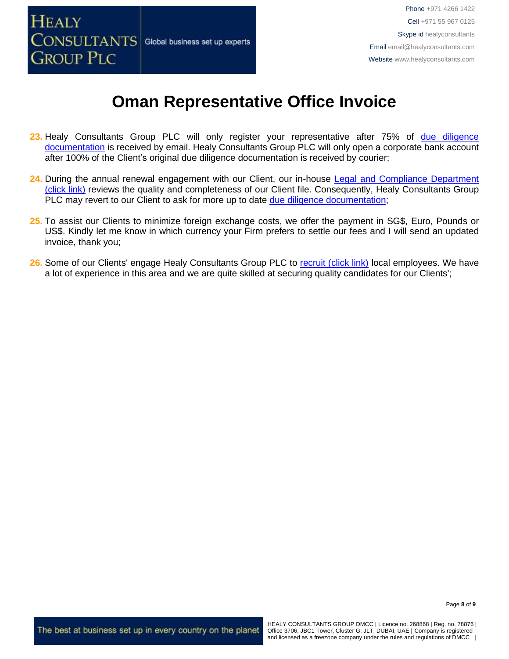

- 23. Healy Consultants Group PLC will only register your representative after 75% of due diligence [documentation](http://www.healyconsultants.com/due-diligence/) is received by email. Healy Consultants Group PLC will only open a corporate bank account after 100% of the Client's original due diligence documentation is received by courier;
- **24.** During the annual renewal engagement with our Client, our in-house [Legal and Compliance Department](http://www.healyconsultants.com/about-us/key-personnel/cai-xin-profile/)  [\(click link\)](http://www.healyconsultants.com/about-us/key-personnel/cai-xin-profile/) reviews the quality and completeness of our Client file. Consequently, Healy Consultants Group PLC may revert to our Client to ask for more up to date [due diligence documentation;](http://www.healyconsultants.com/due-diligence/)
- **25.** To assist our Clients to minimize foreign exchange costs, we offer the payment in SG\$, Euro, Pounds or US\$. Kindly let me know in which currency your Firm prefers to settle our fees and I will send an updated invoice, thank you;
- **26.** Some of our Clients' engage Healy Consultants Group PLC to [recruit \(click link\)](http://www.healyconsultants.com/corporate-outsourcing-services/how-we-help-our-clients-recruit-quality-employees/) local employees. We have a lot of experience in this area and we are quite skilled at securing quality candidates for our Clients';